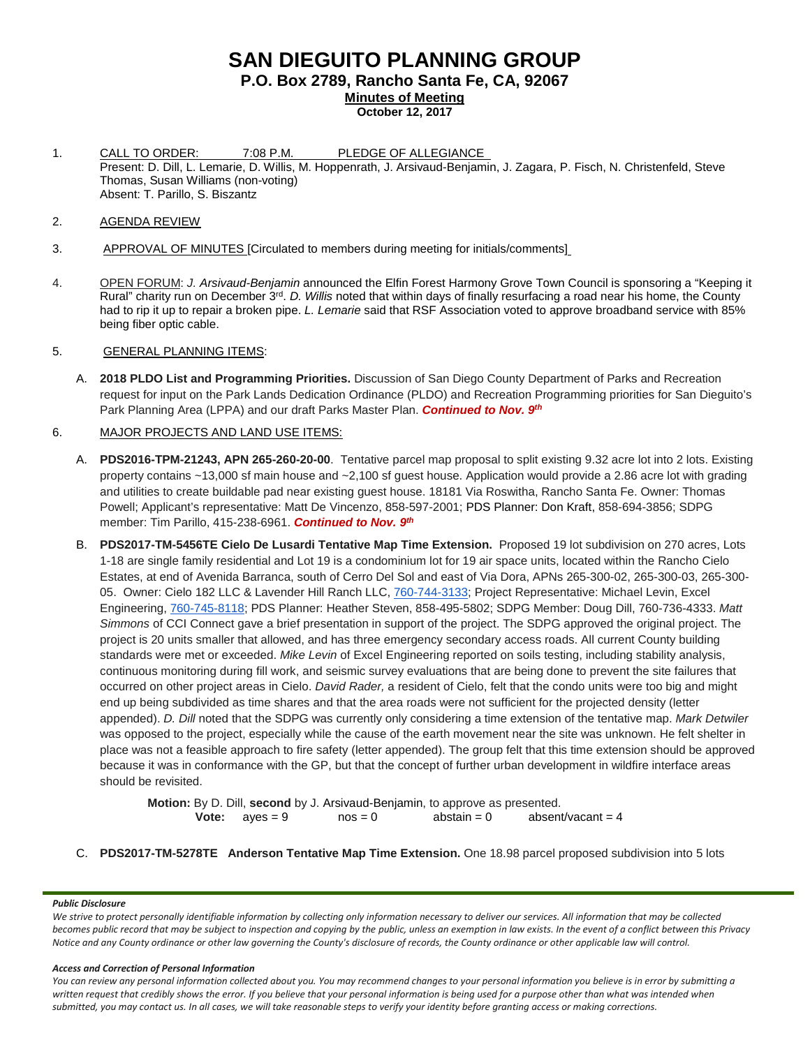# **SAN DIEGUITO PLANNING GROUP P.O. Box 2789, Rancho Santa Fe, CA, 92067 Minutes of Meeting October 12, 2017**

- 1. CALL TO ORDER: 7:08 P.M. PLEDGE OF ALLEGIANCE Present: D. Dill, L. Lemarie, D. Willis, M. Hoppenrath, J. Arsivaud-Benjamin, J. Zagara, P. Fisch, N. Christenfeld, Steve Thomas, Susan Williams (non-voting) Absent: T. Parillo, S. Biszantz
- 2. AGENDA REVIEW
- 3. APPROVAL OF MINUTES [Circulated to members during meeting for initials/comments]
- 4. OPEN FORUM: *J. Arsivaud-Benjamin* announced the Elfin Forest Harmony Grove Town Council is sponsoring a "Keeping it Rural" charity run on December 3rd. *D. Willis* noted that within days of finally resurfacing a road near his home, the County had to rip it up to repair a broken pipe. *L. Lemarie* said that RSF Association voted to approve broadband service with 85% being fiber optic cable.

### 5. GENERAL PLANNING ITEMS:

A. **2018 PLDO List and Programming Priorities.** Discussion of San Diego County Department of Parks and Recreation request for input on the Park Lands Dedication Ordinance (PLDO) and Recreation Programming priorities for San Dieguito's Park Planning Area (LPPA) and our draft Parks Master Plan. *Continued to Nov. 9th*

### 6. MAJOR PROJECTS AND LAND USE ITEMS:

- A. **PDS2016-TPM-21243, APN 265-260-20-00**. Tentative parcel map proposal to split existing 9.32 acre lot into 2 lots. Existing property contains ~13,000 sf main house and ~2,100 sf guest house. Application would provide a 2.86 acre lot with grading and utilities to create buildable pad near existing guest house. 18181 Via Roswitha, Rancho Santa Fe. Owner: Thomas Powell; Applicant's representative: Matt De Vincenzo, 858-597-2001; PDS Planner: Don Kraft, 858-694-3856; SDPG member: Tim Parillo, [415-238-6961.](tel:415-238-6961) *Continued to Nov. 9th*
- B. **PDS2017-TM-5456TE Cielo De Lusardi Tentative Map Time Extension.** Proposed 19 lot subdivision on 270 acres, Lots 1-18 are single family residential and Lot 19 is a condominium lot for 19 air space units, located within the Rancho Cielo Estates, at end of Avenida Barranca, south of Cerro Del Sol and east of Via Dora, APNs 265-300-02, 265-300-03, 265-300- 05. Owner: Cielo 182 LLC & Lavender Hill Ranch LLC, [760-744-3133;](tel:(760)%20744-3133) Project Representative: Michael Levin, Excel Engineering, [760-745-8118;](tel:(760)%20745-8118) PDS Planner: Heather Steven, [858-495-5802;](tel:(858)%20495-5802) SDPG Member: Doug Dill, [760-736-4333.](tel:(760)%20736-4333) *Matt Simmons* of CCI Connect gave a brief presentation in support of the project. The SDPG approved the original project. The project is 20 units smaller that allowed, and has three emergency secondary access roads. All current County building standards were met or exceeded. *Mike Levin* of Excel Engineering reported on soils testing, including stability analysis, continuous monitoring during fill work, and seismic survey evaluations that are being done to prevent the site failures that occurred on other project areas in Cielo. *David Rader,* a resident of Cielo, felt that the condo units were too big and might end up being subdivided as time shares and that the area roads were not sufficient for the projected density (letter appended). *D. Dill* noted that the SDPG was currently only considering a time extension of the tentative map. *Mark Detwiler* was opposed to the project, especially while the cause of the earth movement near the site was unknown. He felt shelter in place was not a feasible approach to fire safety (letter appended). The group felt that this time extension should be approved because it was in conformance with the GP, but that the concept of further urban development in wildfire interface areas should be revisited.

**Motion:** By D. Dill, **second** by J. Arsivaud-Benjamin, to approve as presented.<br>**Vote:** aves = 9 nos = 0 abstain = 0 absent  $nos = 0$  abstain = 0 absent/vacant = 4

C. **PDS2017-TM-5278TE Anderson Tentative Map Time Extension.** One 18.98 parcel proposed subdivision into 5 lots

### *Public Disclosure*

*We strive to protect personally identifiable information by collecting only information necessary to deliver our services. All information that may be collected*  becomes public record that may be subject to inspection and copying by the public, unless an exemption in law exists. In the event of a conflict between this Privacy *Notice and any County ordinance or other law governing the County's disclosure of records, the County ordinance or other applicable law will control.*

### *Access and Correction of Personal Information*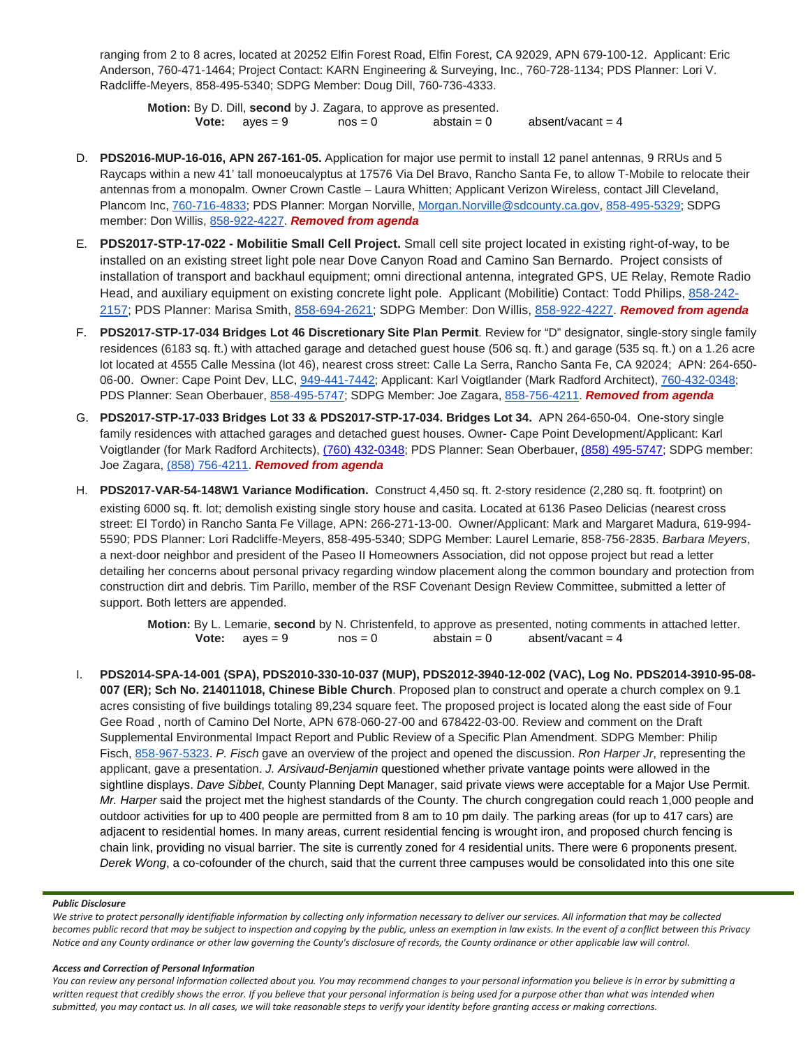ranging from 2 to 8 acres, located at 20252 Elfin Forest Road, Elfin Forest, CA 92029, APN 679-100-12. Applicant: Eric Anderson, 760-471-1464; Project Contact: KARN Engineering & Surveying, Inc., 760-728-1134; PDS Planner: Lori V. Radcliffe-Meyers, 858-495-5340; SDPG Member: Doug Dill, 760-736-4333.

**Motion:** By D. Dill, **second** by J. Zagara, to approve as presented.<br> **Vote:** ayes = 9 nos = 0 abstain = 0 **Vote:**  $ayes = 9$   $nos = 0$   $abstain = 0$   $absent/vacant = 4$ 

- D. **PDS2016-MUP-16-016, APN 267-161-05.** Application for major use permit to install 12 panel antennas, 9 RRUs and 5 Raycaps within a new 41' tall monoeucalyptus at 17576 Via Del Bravo, Rancho Santa Fe, to allow T-Mobile to relocate their antennas from a monopalm. Owner Crown Castle – Laura Whitten; Applicant Verizon Wireless, contact Jill Cleveland, Plancom Inc, [760-716-4833;](tel:(760)%20716-4833) PDS Planner: Morgan Norville, [Morgan.Norville@sdcounty.ca.gov,](mailto:Morgan.Norville@sdcounty.ca.gov) [858-495-5329;](tel:(858)%20495-5329) SDPG member: Don Willis, [858-922-4227.](tel:(858)%20922-4227) *Removed from agenda*
- E. **PDS2017-STP-17-022 - Mobilitie Small Cell Project.** Small cell site project located in existing right-of-way, to be installed on an existing street light pole near Dove Canyon Road and Camino San Bernardo. Project consists of installation of transport and backhaul equipment; omni directional antenna, integrated GPS, UE Relay, Remote Radio Head, and auxiliary equipment on existing concrete light pole. Applicant (Mobilitie) Contact: Todd Philips, [858-242-](tel:(858)%20242-2157) [2157;](tel:(858)%20242-2157) PDS Planner: Marisa Smith, [858-694-2621;](tel:(858)%20694-2621) SDPG Member: Don Willis, [858-922-4227.](tel:(858)%20922-4227) *Removed from agenda*
- F. **PDS2017-STP-17-034 Bridges Lot 46 Discretionary Site Plan Permit**. Review for "D" designator, single-story single family residences (6183 sq. ft.) with attached garage and detached guest house (506 sq. ft.) and garage (535 sq. ft.) on a 1.26 acre lot located at 4555 Calle Messina (lot 46), nearest cross street: Calle La Serra, Rancho Santa Fe, CA 92024; APN: 264-650- 06-00. Owner: Cape Point Dev, LLC, [949-441-7442;](tel:(949)%20441-7442) Applicant: Karl Voigtlander (Mark Radford Architect), [760-432-0348;](tel:(760)%20432-0348) PDS Planner: Sean Oberbauer, [858-495-5747;](tel:(858)%20495-5747) SDPG Member: Joe Zagara, [858-756-4211.](tel:(858)%20756-4211) *Removed from agenda*
- G. **PDS2017-STP-17-033 Bridges Lot 33 & PDS2017-STP-17-034. Bridges Lot 34.** APN 264-650-04. One-story single family residences with attached garages and detached guest houses. Owner- Cape Point Development/Applicant: Karl Voigtlander (for Mark Radford Architects), [\(760\) 432-0348;](tel:%28760%29%20432-0348) PDS Planner: Sean Oberbauer, (858) [495-5747;](tel:%28858%29%20495-5428) SDPG member: Joe Zagara, [\(858\) 756-4211.](tel:(858)%20756-4211) *Removed from agenda*
- H. **PDS2017-VAR-54-148W1 Variance Modification.** Construct 4,450 sq. ft. 2-story residence (2,280 sq. ft. footprint) on existing 6000 sq. ft. lot; demolish existing single story house and casita. Located at 6136 Paseo Delicias (nearest cross street: El Tordo) in Rancho Santa Fe Village, APN: 266-271-13-00. Owner/Applicant: Mark and Margaret Madura, 619-994- 5590; PDS Planner: Lori Radcliffe-Meyers, 858-495-5340; SDPG Member: Laurel Lemarie, 858-756-2835. *Barbara Meyers*, a next-door neighbor and president of the Paseo II Homeowners Association, did not oppose project but read a letter detailing her concerns about personal privacy regarding window placement along the common boundary and protection from construction dirt and debris. Tim Parillo, member of the RSF Covenant Design Review Committee, submitted a letter of support. Both letters are appended.

**Motion:** By L. Lemarie, **second** by N. Christenfeld, to approve as presented, noting comments in attached letter.<br>**Vote:** ayes = 9 nos = 0 abstain = 0 absent/vacant = 4 **Vote:**  $ayes = 9$ 

I. **PDS2014-SPA-14-001 (SPA), PDS2010-330-10-037 (MUP), PDS2012-3940-12-002 (VAC), Log No. PDS2014-3910-95-08- 007 (ER); Sch No. 214011018, Chinese Bible Church**. Proposed plan to construct and operate a church complex on 9.1 acres consisting of five buildings totaling 89,234 square feet. The proposed project is located along the east side of Four Gee Road , north of Camino Del Norte, APN 678-060-27-00 and 678422-03-00. Review and comment on the Draft Supplemental Environmental Impact Report and Public Review of a Specific Plan Amendment. SDPG Member: Philip Fisch, [858-967-5323.](tel:(858)%20967-5323) *P. Fisch* gave an overview of the project and opened the discussion. *Ron Harper Jr*, representing the applicant, gave a presentation. *J. Arsivaud-Benjamin* questioned whether private vantage points were allowed in the sightline displays. *Dave Sibbet*, County Planning Dept Manager, said private views were acceptable for a Major Use Permit. *Mr. Harper* said the project met the highest standards of the County. The church congregation could reach 1,000 people and outdoor activities for up to 400 people are permitted from 8 am to 10 pm daily. The parking areas (for up to 417 cars) are adjacent to residential homes. In many areas, current residential fencing is wrought iron, and proposed church fencing is chain link, providing no visual barrier. The site is currently zoned for 4 residential units. There were 6 proponents present. *Derek Wong*, a co-cofounder of the church, said that the current three campuses would be consolidated into this one site

#### *Public Disclosure*

*We strive to protect personally identifiable information by collecting only information necessary to deliver our services. All information that may be collected*  becomes public record that may be subject to inspection and copying by the public, unless an exemption in law exists. In the event of a conflict between this Privacy *Notice and any County ordinance or other law governing the County's disclosure of records, the County ordinance or other applicable law will control.*

#### *Access and Correction of Personal Information*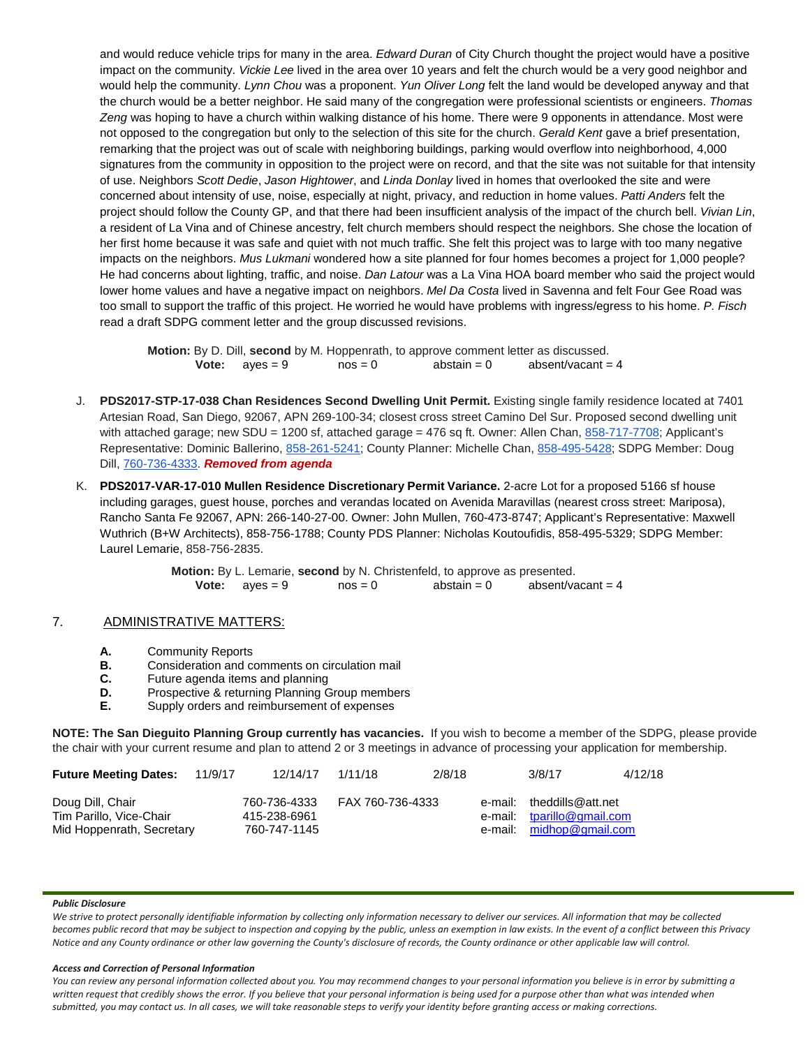and would reduce vehicle trips for many in the area. *Edward Duran* of City Church thought the project would have a positive impact on the community. *Vickie Lee* lived in the area over 10 years and felt the church would be a very good neighbor and would help the community. *Lynn Chou* was a proponent. *Yun Oliver Long* felt the land would be developed anyway and that the church would be a better neighbor. He said many of the congregation were professional scientists or engineers. *Thomas Zeng* was hoping to have a church within walking distance of his home. There were 9 opponents in attendance. Most were not opposed to the congregation but only to the selection of this site for the church. *Gerald Kent* gave a brief presentation, remarking that the project was out of scale with neighboring buildings, parking would overflow into neighborhood, 4,000 signatures from the community in opposition to the project were on record, and that the site was not suitable for that intensity of use. Neighbors *Scott Dedie*, *Jason Hightower*, and *Linda Donlay* lived in homes that overlooked the site and were concerned about intensity of use, noise, especially at night, privacy, and reduction in home values. *Patti Anders* felt the project should follow the County GP, and that there had been insufficient analysis of the impact of the church bell. *Vivian Lin*, a resident of La Vina and of Chinese ancestry, felt church members should respect the neighbors. She chose the location of her first home because it was safe and quiet with not much traffic. She felt this project was to large with too many negative impacts on the neighbors. *Mus Lukmani* wondered how a site planned for four homes becomes a project for 1,000 people? He had concerns about lighting, traffic, and noise. *Dan Latour* was a La Vina HOA board member who said the project would lower home values and have a negative impact on neighbors. *Mel Da Costa* lived in Savenna and felt Four Gee Road was too small to support the traffic of this project. He worried he would have problems with ingress/egress to his home. *P. Fisch* read a draft SDPG comment letter and the group discussed revisions.

**Motion:** By D. Dill, **second** by M. Hoppenrath, to approve comment letter as discussed.<br>**Vote:** ayes = 9 nos = 0 abstain = 0 absent/vacant = 4 **Vote:**  $ayes = 9$   $nos = 0$   $abstain = 0$ 

- J. **PDS2017-STP-17-038 Chan Residences Second Dwelling Unit Permit.** Existing single family residence located at 7401 Artesian Road, San Diego, 92067, APN 269-100-34; closest cross street Camino Del Sur. Proposed second dwelling unit with attached garage; new SDU = 1200 sf, attached garage = 476 sq ft. Owner: Allen Chan, [858-717-7708;](tel:(858)%20717-7708) Applicant's Representative: Dominic Ballerino, [858-261-5241;](tel:(858)%20261-5241) County Planner: Michelle Chan, [858-495-5428;](tel:(858)%20495-5428) SDPG Member: Doug Dill, [760-736-4333.](tel:(760)%20736-4333) *Removed from agenda*
- K. **PDS2017-VAR-17-010 Mullen Residence Discretionary Permit Variance.** 2-acre Lot for a proposed 5166 sf house including garages, guest house, porches and verandas located on Avenida Maravillas (nearest cross street: Mariposa), Rancho Santa Fe 92067, APN: 266-140-27-00. Owner: John Mullen, 760-473-8747; Applicant's Representative: Maxwell Wuthrich (B+W Architects), 858-756-1788; County PDS Planner: Nicholas Koutoufidis, 858-495-5329; SDPG Member: Laurel Lemarie, 858-756-2835.

**Motion:** By L. Lemarie, **second** by N. Christenfeld, to approve as presented. **Vote:**  $ayes = 9$   $nos = 0$   $abstant /vacant = 4$ 

### 7. ADMINISTRATIVE MATTERS:

- **A.** Community Reports<br>**B.** Consideration and com-
- **B.** Consideration and comments on circulation mail<br>**C.** Future agenda items and planning
- **C.** Future agenda items and planning<br>**D.** Prospective & returning Planning G
- **D.** Prospective & returning Planning Group members<br>**E.** Supply orders and reimbursement of expenses
- **E.** Supply orders and reimbursement of expenses

**NOTE: The San Dieguito Planning Group currently has vacancies.** If you wish to become a member of the SDPG, please provide the chair with your current resume and plan to attend 2 or 3 meetings in advance of processing your application for membership.

| <b>Future Meeting Dates:</b>                                             | 11/9/17 | 12/14/17                                     | 1/11/18          | 2/8/18 | 3/8/17                                                                              | 4/12/18 |
|--------------------------------------------------------------------------|---------|----------------------------------------------|------------------|--------|-------------------------------------------------------------------------------------|---------|
| Doug Dill, Chair<br>Tim Parillo, Vice-Chair<br>Mid Hoppenrath, Secretary |         | 760-736-4333<br>415-238-6961<br>760-747-1145 | FAX 760-736-4333 |        | e-mail: theddills@att.net<br>e-mail: tparillo@gmail.com<br>e-mail: midhop@gmail.com |         |

#### *Public Disclosure*

*We strive to protect personally identifiable information by collecting only information necessary to deliver our services. All information that may be collected*  becomes public record that may be subject to inspection and copying by the public, unless an exemption in law exists. In the event of a conflict between this Privacy *Notice and any County ordinance or other law governing the County's disclosure of records, the County ordinance or other applicable law will control.*

#### *Access and Correction of Personal Information*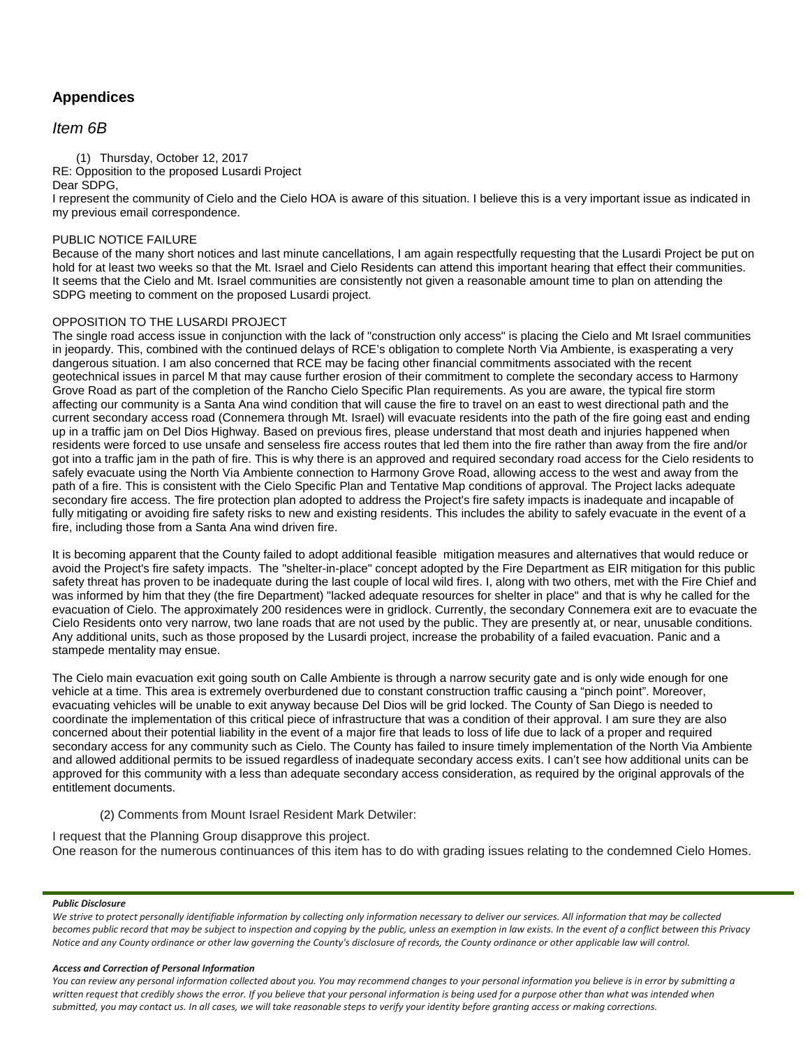# **Appendices**

## *Item 6B*

(1) Thursday, October 12, 2017 RE: Opposition to the proposed Lusardi Project

Dear SDPG,

I represent the community of Cielo and the Cielo HOA is aware of this situation. I believe this is a very important issue as indicated in my previous email correspondence.

### PUBLIC NOTICE FAILURE

Because of the many short notices and last minute cancellations, I am again respectfully requesting that the Lusardi Project be put on hold for at least two weeks so that the Mt. Israel and Cielo Residents can attend this important hearing that effect their communities. It seems that the Cielo and Mt. Israel communities are consistently not given a reasonable amount time to plan on attending the SDPG meeting to comment on the proposed Lusardi project.

### OPPOSITION TO THE LUSARDI PROJECT

The single road access issue in conjunction with the lack of "construction only access" is placing the Cielo and Mt Israel communities in jeopardy. This, combined with the continued delays of RCE's obligation to complete North Via Ambiente, is exasperating a very dangerous situation. I am also concerned that RCE may be facing other financial commitments associated with the recent geotechnical issues in parcel M that may cause further erosion of their commitment to complete the secondary access to Harmony Grove Road as part of the completion of the Rancho Cielo Specific Plan requirements. As you are aware, the typical fire storm affecting our community is a Santa Ana wind condition that will cause the fire to travel on an east to west directional path and the current secondary access road (Connemera through Mt. Israel) will evacuate residents into the path of the fire going east and ending up in a traffic jam on Del Dios Highway. Based on previous fires, please understand that most death and injuries happened when residents were forced to use unsafe and senseless fire access routes that led them into the fire rather than away from the fire and/or got into a traffic jam in the path of fire. This is why there is an approved and required secondary road access for the Cielo residents to safely evacuate using the North Via Ambiente connection to Harmony Grove Road, allowing access to the west and away from the path of a fire. This is consistent with the Cielo Specific Plan and Tentative Map conditions of approval. The Project lacks adequate secondary fire access. The fire protection plan adopted to address the Project's fire safety impacts is inadequate and incapable of fully mitigating or avoiding fire safety risks to new and existing residents. This includes the ability to safely evacuate in the event of a fire, including those from a Santa Ana wind driven fire.

It is becoming apparent that the County failed to adopt additional feasible mitigation measures and alternatives that would reduce or avoid the Project's fire safety impacts. The "shelter-in-place" concept adopted by the Fire Department as EIR mitigation for this public safety threat has proven to be inadequate during the last couple of local wild fires. I, along with two others, met with the Fire Chief and was informed by him that they (the fire Department) "lacked adequate resources for shelter in place" and that is why he called for the evacuation of Cielo. The approximately 200 residences were in gridlock. Currently, the secondary Connemera exit are to evacuate the Cielo Residents onto very narrow, two lane roads that are not used by the public. They are presently at, or near, unusable conditions. Any additional units, such as those proposed by the Lusardi project, increase the probability of a failed evacuation. Panic and a stampede mentality may ensue.

The Cielo main evacuation exit going south on Calle Ambiente is through a narrow security gate and is only wide enough for one vehicle at a time. This area is extremely overburdened due to constant construction traffic causing a "pinch point". Moreover, evacuating vehicles will be unable to exit anyway because Del Dios will be grid locked. The County of San Diego is needed to coordinate the implementation of this critical piece of infrastructure that was a condition of their approval. I am sure they are also concerned about their potential liability in the event of a major fire that leads to loss of life due to lack of a proper and required secondary access for any community such as Cielo. The County has failed to insure timely implementation of the North Via Ambiente and allowed additional permits to be issued regardless of inadequate secondary access exits. I can't see how additional units can be approved for this community with a less than adequate secondary access consideration, as required by the original approvals of the entitlement documents.

### (2) Comments from Mount Israel Resident Mark Detwiler:

I request that the Planning Group disapprove this project.

One reason for the numerous continuances of this item has to do with grading issues relating to the condemned Cielo Homes.

### *Public Disclosure*

*We strive to protect personally identifiable information by collecting only information necessary to deliver our services. All information that may be collected*  becomes public record that may be subject to inspection and copying by the public, unless an exemption in law exists. In the event of a conflict between this Privacy *Notice and any County ordinance or other law governing the County's disclosure of records, the County ordinance or other applicable law will control.*

### *Access and Correction of Personal Information*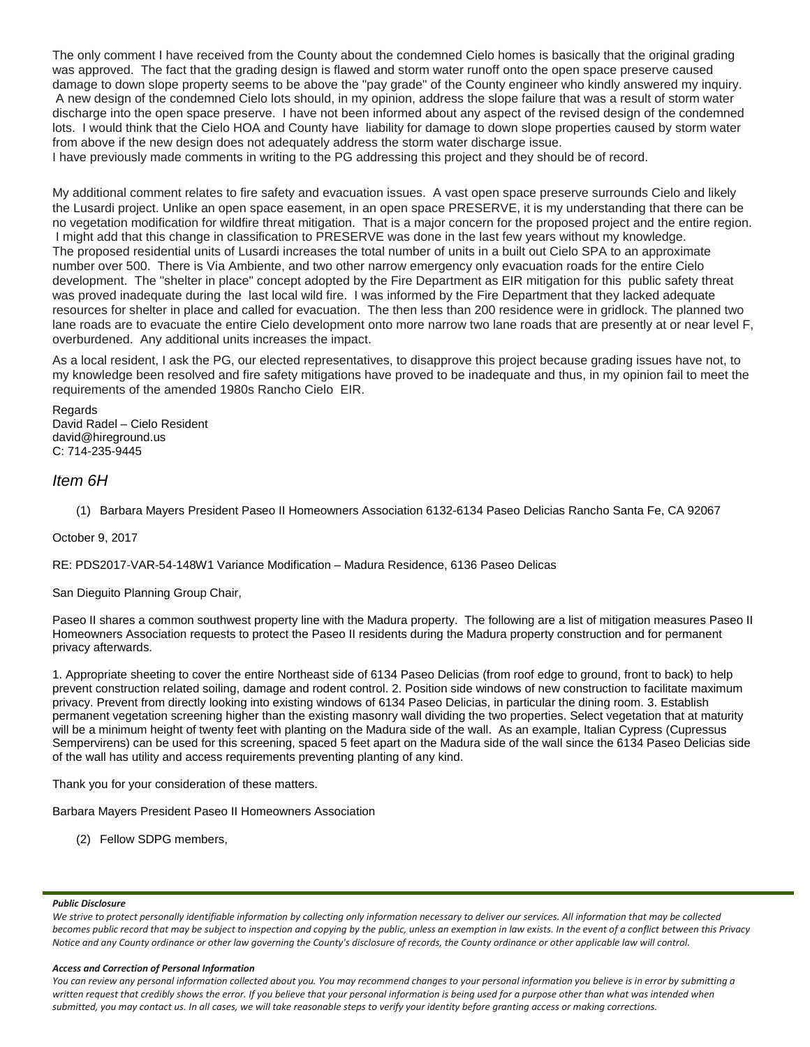The only comment I have received from the County about the condemned Cielo homes is basically that the original grading was approved. The fact that the grading design is flawed and storm water runoff onto the open space preserve caused damage to down slope property seems to be above the "pay grade" of the County engineer who kindly answered my inquiry. A new design of the condemned Cielo lots should, in my opinion, address the slope failure that was a result of storm water discharge into the open space preserve. I have not been informed about any aspect of the revised design of the condemned lots. I would think that the Cielo HOA and County have liability for damage to down slope properties caused by storm water from above if the new design does not adequately address the storm water discharge issue.

I have previously made comments in writing to the PG addressing this project and they should be of record.

My additional comment relates to fire safety and evacuation issues. A vast open space preserve surrounds Cielo and likely the Lusardi project. Unlike an open space easement, in an open space PRESERVE, it is my understanding that there can be no vegetation modification for wildfire threat mitigation. That is a major concern for the proposed project and the entire region. I might add that this change in classification to PRESERVE was done in the last few years without my knowledge. The proposed residential units of Lusardi increases the total number of units in a built out Cielo SPA to an approximate number over 500. There is Via Ambiente, and two other narrow emergency only evacuation roads for the entire Cielo development. The "shelter in place" concept adopted by the Fire Department as EIR mitigation for this public safety threat was proved inadequate during the last local wild fire. I was informed by the Fire Department that they lacked adequate resources for shelter in place and called for evacuation. The then less than 200 residence were in gridlock. The planned two lane roads are to evacuate the entire Cielo development onto more narrow two lane roads that are presently at or near level F, overburdened. Any additional units increases the impact.

As a local resident, I ask the PG, our elected representatives, to disapprove this project because grading issues have not, to my knowledge been resolved and fire safety mitigations have proved to be inadequate and thus, in my opinion fail to meet the requirements of the amended 1980s Rancho Cielo EIR.

Regards David Radel – Cielo Resident david@hireground.us C: 714-235-9445

### *Item 6H*

(1) Barbara Mayers President Paseo II Homeowners Association 6132-6134 Paseo Delicias Rancho Santa Fe, CA 92067

October 9, 2017

RE: PDS2017-VAR-54-148W1 Variance Modification – Madura Residence, 6136 Paseo Delicas

San Dieguito Planning Group Chair,

Paseo II shares a common southwest property line with the Madura property. The following are a list of mitigation measures Paseo II Homeowners Association requests to protect the Paseo II residents during the Madura property construction and for permanent privacy afterwards.

1. Appropriate sheeting to cover the entire Northeast side of 6134 Paseo Delicias (from roof edge to ground, front to back) to help prevent construction related soiling, damage and rodent control. 2. Position side windows of new construction to facilitate maximum privacy. Prevent from directly looking into existing windows of 6134 Paseo Delicias, in particular the dining room. 3. Establish permanent vegetation screening higher than the existing masonry wall dividing the two properties. Select vegetation that at maturity will be a minimum height of twenty feet with planting on the Madura side of the wall. As an example, Italian Cypress (Cupressus Sempervirens) can be used for this screening, spaced 5 feet apart on the Madura side of the wall since the 6134 Paseo Delicias side of the wall has utility and access requirements preventing planting of any kind.

Thank you for your consideration of these matters.

Barbara Mayers President Paseo II Homeowners Association

(2) Fellow SDPG members,

### *Public Disclosure*

*We strive to protect personally identifiable information by collecting only information necessary to deliver our services. All information that may be collected*  becomes public record that may be subject to inspection and copying by the public, unless an exemption in law exists. In the event of a conflict between this Privacy *Notice and any County ordinance or other law governing the County's disclosure of records, the County ordinance or other applicable law will control.*

#### *Access and Correction of Personal Information*